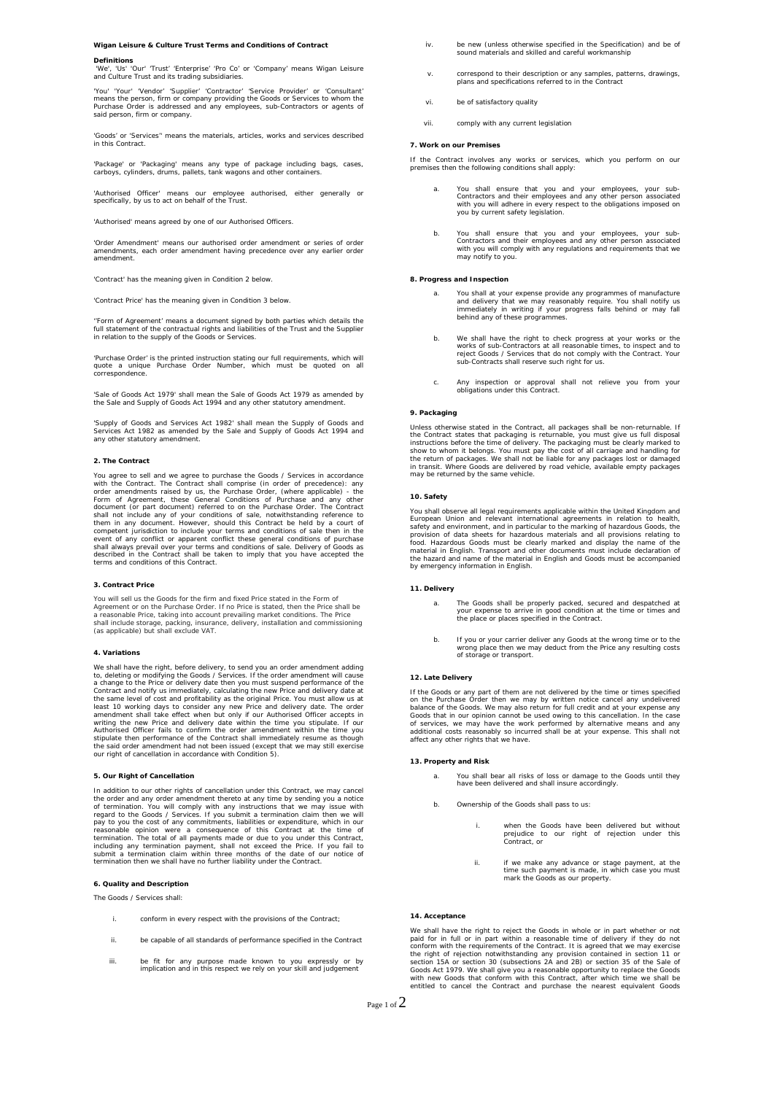# **Wigan Leisure & Culture Trust Terms and Conditions of Contract**

#### **Definitions**

'We', 'Us' 'Our' 'Trust' 'Enterprise' 'Pro Co' or 'Company' means Wigan Leisure and Culture Trust and its trading subsidiaries.

'You' 'Your' 'Vendor' 'Supplier' 'Contractor' 'Service Provider' or 'Consultant'<br>means the person, firm or company providing the Goods or Services to whom the<br>Purchase Order is addressed and any employees, sub-Contractors said person, firm or company.

'Goods' or 'Services'' means the materials, articles, works and services described in this Contract.

'Package' or 'Packaging' means any type of package including bags, cases, carboys, cylinders, drums, pallets, tank wagons and other containers.

'Authorised Officer' means our employee authorised, either generally or specifically, by us to act on behalf of the Trust.

'Authorised' means agreed by one of our Authorised Officers.

'Order Amendment' means our authorised order amendment or series of order amendments, each order amendment having precedence over any earlier order amendment.

'Contract' has the meaning given in Condition 2 below.

'Contract Price' has the meaning given in Condition 3 below.

''Form of Agreement' means a document signed by both parties which details the full statement of the contractual rights and liabilities of the Trust and the Supplier in relation to the supply of the Goods or Services.

'Purchase Order' is the printed instruction stating our full requirements, which will quote a unique Purchase Order Number, which must be quoted on all correspondence.

'Sale of Goods Act 1979' shall mean the Sale of Goods Act 1979 as amended by the Sale and Supply of Goods Act 1994 and any other statutory amendment.

'Supply of Goods and Services Act 1982' shall mean the Supply of Goods and Services Act 1982 as amended by the Sale and Supply of Goods Act 1994 and any other statutory amendment.

#### **2. The Contract**

You agree to sell and we agree to purchase the Goods / Services in accordance<br>with the Contract. The Contract shall comprise (in order of precedence): any<br>order amendments raised by us, the Purchase Order, (where applicabl competent jurisdiction to include your terms and conditions of sale then in the<br>event of any conflict or apparent conflict these general conditions of purchase<br>shall always prevail over your terms and conditions of sale. D

#### **3. Contract Price**

You will sell us the Goods for the firm and fixed Price stated in the Form of Agreement or on the Purchase Order. If no Price is stated, then the Price shall be<br>a reasonable Price, taking into account prevailing market conditions. The Price<br>shall include storage, packing, insurance, delivery, instal

#### **4. Variations**

We shall have the right, before delivery, to send you an order amendment adding to, deleting or modifying the Goods / Services. If the order amendment will cause to, deleting or modifying the Goods / Services. If the order amendment will cause a change to the Price or delivery date then you must suspend performance of the Sontract and notify us immediately, calculating the new Pric our right of cancellation in accordance with Condition 5).

## **5. Our Right of Cancellation**

In addition to our other rights of cancellation under this Contract, we may cancel<br>the order and any order amendment thereto at any time by sending you a notice<br>of termination. You will comply with any instructions that w

#### **6. Quality and Description**

The Goods / Services shall:

- conform in every respect with the provisions of the Contract;
- ii. be capable of all standards of performance specified in the Contract
- iii. be fit for any purpose made known to you expressly or by implication and in this respect we rely on your skill and judgement
- iv. be new (unless otherwise specified in the Specification) and be of sound materials and skilled and careful workmanship
- v. correspond to their description or any samples, patterns, drawings, plans and specifications referred to in the Contract
- vi. be of satisfactory quality
- vii. comply with any current legislation

## **7. Work on our Premises**

If the Contract involves any works or services, which you perform on our premises then the following conditions shall apply:

- a. You shall ensure that you and your employees, your sub-Contractors and their employees and any other person associated with you will adhere in every respect to the obligations imposed on you by current safety legislation.
- b. You shall ensure that you and your employees, your sub-Contractors and their employees and any other person associated with you will comply with any regulations and requirements that we may notify to you.

#### **8. Progress and Inspection**

- a. You shall at your expense provide any programmes of manufacture<br>and delivery that we may reasonably require. You shall notify us<br>immediately in writing if your progress falls behind or may fall<br>behind any of these progr
- b. We shall have the right to check progress at your works or the works of sub-Contractors at all reasonable times, to inspect and to reject Goods / Services that do not comply with the Contract. Your sub-Contracts shall r
- c. Any inspection or approval shall not relieve you from your obligations under this Contract.

## **9. Packaging**

Unless otherwise stated in the Contract, all packages shall be non-returnable. If the Contract states that packaging is returnable, you must give us full disposal instructions before the time of delivery. The packaging mus

## **10. Safety**

You shall observe all legal requirements applicable within the United Kingodom and selectopean Union and relevant international agreements in relation to health, safety and environment, and in particular to the marking of

#### **11. Delivery**

- a. The Goods shall be properly packed, secured and despatched at your expense to arrive in good condition at the time or times and the place or places specified in the Contract.
- b. If you or your carrier deliver any Goods at the wrong time or to the wrong place then we may deduct from the Price any resulting costs of storage or transport.

## **12. Late Delivery**

If the Goods or any part of them are not delivered by the time or times specified<br>on the Purchase Order them we may by written notice cancel any undelivered<br>balance of the Goods. We may also return for full credit and at y

## **13. Property and Risk**

- a. You shall bear all risks of loss or damage to the Goods until they have been delivered and shall insure accordingly.
- b. Ownership of the Goods shall pass to us:
	- i. when the Goods have been delivered but without prejudice to our right of rejection under this Contract, or
	- ii. if we make any advance or stage payment, at the time such payment is made, in which case you must mark the Goods as our property.

# **14. Acceptance**

We shall have the right to reject the Goods in whole or in part whether or not paid for in full or in part within a reasonable time of delivery if they do not<br>conform with the requirements of the Contract. It is agreed that we may exercise<br>the right of rejection notwithstanding any provision containe